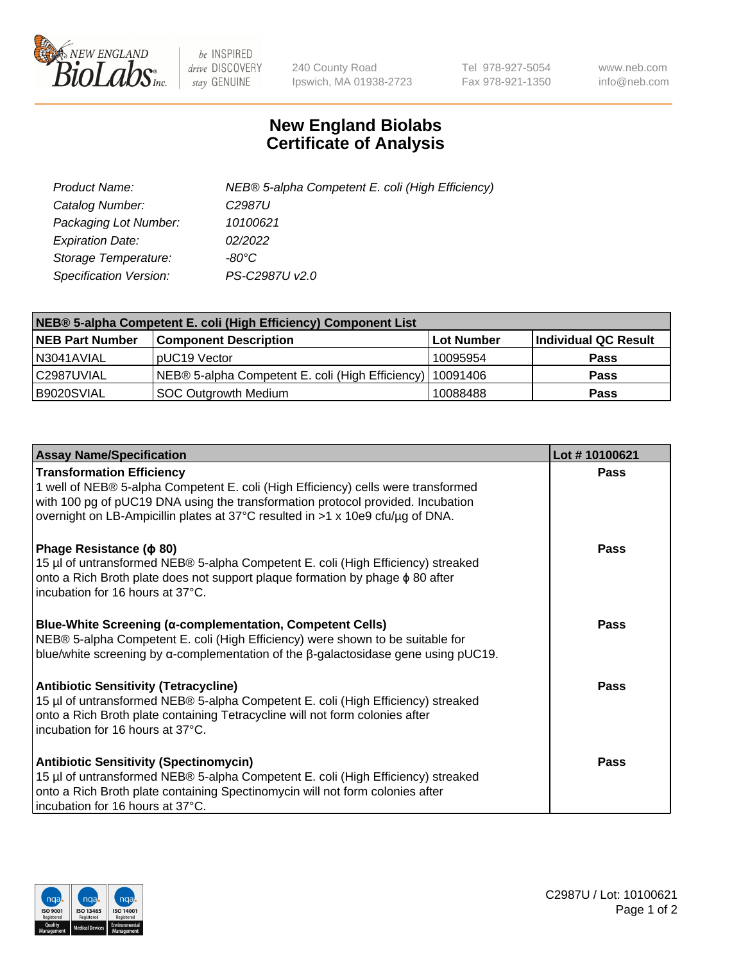

 $be$  INSPIRED drive DISCOVERY stay GENUINE

240 County Road Ipswich, MA 01938-2723 Tel 978-927-5054 Fax 978-921-1350 www.neb.com info@neb.com

## **New England Biolabs Certificate of Analysis**

| Product Name:           | NEB® 5-alpha Competent E. coli (High Efficiency) |
|-------------------------|--------------------------------------------------|
| Catalog Number:         | C <sub>2987</sub> U                              |
| Packaging Lot Number:   | 10100621                                         |
| <b>Expiration Date:</b> | 02/2022                                          |
| Storage Temperature:    | -80°C                                            |
| Specification Version:  | PS-C2987U v2.0                                   |

| NEB® 5-alpha Competent E. coli (High Efficiency) Component List |                                                  |            |                      |  |
|-----------------------------------------------------------------|--------------------------------------------------|------------|----------------------|--|
| <b>NEB Part Number</b>                                          | <b>Component Description</b>                     | Lot Number | Individual QC Result |  |
| N3041AVIAL                                                      | pUC19 Vector                                     | 10095954   | <b>Pass</b>          |  |
| C2987UVIAL                                                      | NEB® 5-alpha Competent E. coli (High Efficiency) | 10091406   | <b>Pass</b>          |  |
| B9020SVIAL                                                      | <b>SOC Outgrowth Medium</b>                      | 10088488   | <b>Pass</b>          |  |

| <b>Assay Name/Specification</b>                                                                                                                                                                                                                                                            | Lot #10100621 |
|--------------------------------------------------------------------------------------------------------------------------------------------------------------------------------------------------------------------------------------------------------------------------------------------|---------------|
| <b>Transformation Efficiency</b><br>1 well of NEB® 5-alpha Competent E. coli (High Efficiency) cells were transformed<br>with 100 pg of pUC19 DNA using the transformation protocol provided. Incubation<br>overnight on LB-Ampicillin plates at 37°C resulted in >1 x 10e9 cfu/µg of DNA. | Pass          |
| Phage Resistance ( $\phi$ 80)<br>15 µl of untransformed NEB® 5-alpha Competent E. coli (High Efficiency) streaked<br>onto a Rich Broth plate does not support plaque formation by phage $\phi$ 80 after<br>incubation for 16 hours at 37°C.                                                | Pass          |
| <b>Blue-White Screening (α-complementation, Competent Cells)</b><br>NEB® 5-alpha Competent E. coli (High Efficiency) were shown to be suitable for<br>blue/white screening by $\alpha$ -complementation of the $\beta$ -galactosidase gene using pUC19.                                    | <b>Pass</b>   |
| <b>Antibiotic Sensitivity (Tetracycline)</b><br>15 µl of untransformed NEB® 5-alpha Competent E. coli (High Efficiency) streaked<br>onto a Rich Broth plate containing Tetracycline will not form colonies after<br>incubation for 16 hours at 37°C.                                       | <b>Pass</b>   |
| <b>Antibiotic Sensitivity (Spectinomycin)</b><br>15 µl of untransformed NEB® 5-alpha Competent E. coli (High Efficiency) streaked<br>onto a Rich Broth plate containing Spectinomycin will not form colonies after<br>incubation for 16 hours at 37°C.                                     | Pass          |